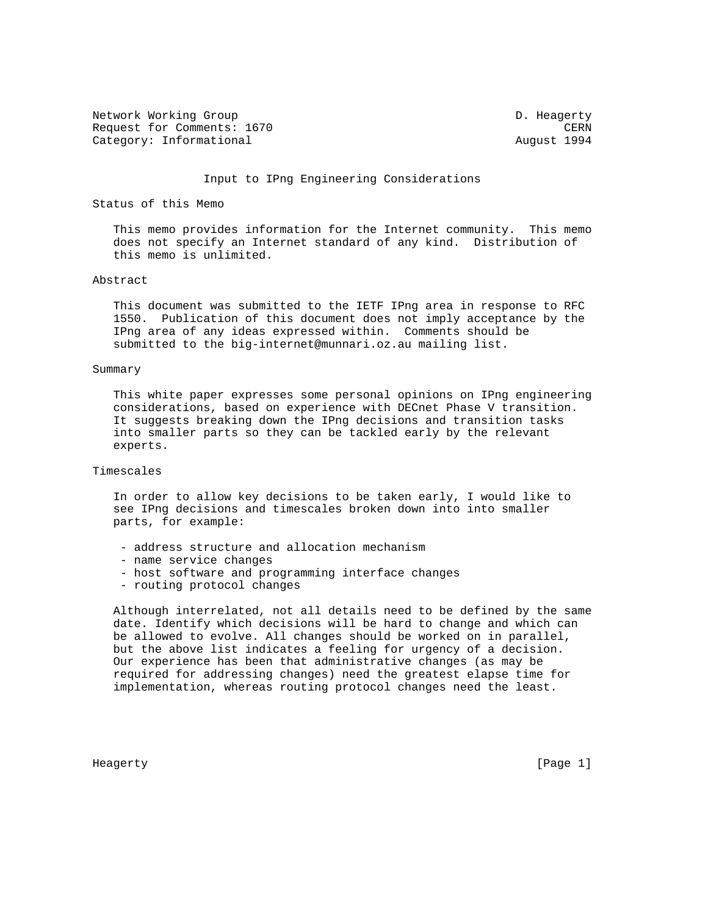Network Working Group and Communications of the D. Heagerty Request for Comments: 1670 CERN Category: Informational and August 1994

#### Input to IPng Engineering Considerations

# Status of this Memo

 This memo provides information for the Internet community. This memo does not specify an Internet standard of any kind. Distribution of this memo is unlimited.

## Abstract

 This document was submitted to the IETF IPng area in response to RFC 1550. Publication of this document does not imply acceptance by the IPng area of any ideas expressed within. Comments should be submitted to the big-internet@munnari.oz.au mailing list.

#### Summary

 This white paper expresses some personal opinions on IPng engineering considerations, based on experience with DECnet Phase V transition. It suggests breaking down the IPng decisions and transition tasks into smaller parts so they can be tackled early by the relevant experts.

## Timescales

 In order to allow key decisions to be taken early, I would like to see IPng decisions and timescales broken down into into smaller parts, for example:

- address structure and allocation mechanism
- name service changes
- host software and programming interface changes
- routing protocol changes

 Although interrelated, not all details need to be defined by the same date. Identify which decisions will be hard to change and which can be allowed to evolve. All changes should be worked on in parallel, but the above list indicates a feeling for urgency of a decision. Our experience has been that administrative changes (as may be required for addressing changes) need the greatest elapse time for implementation, whereas routing protocol changes need the least.

Heagerty [Page 1]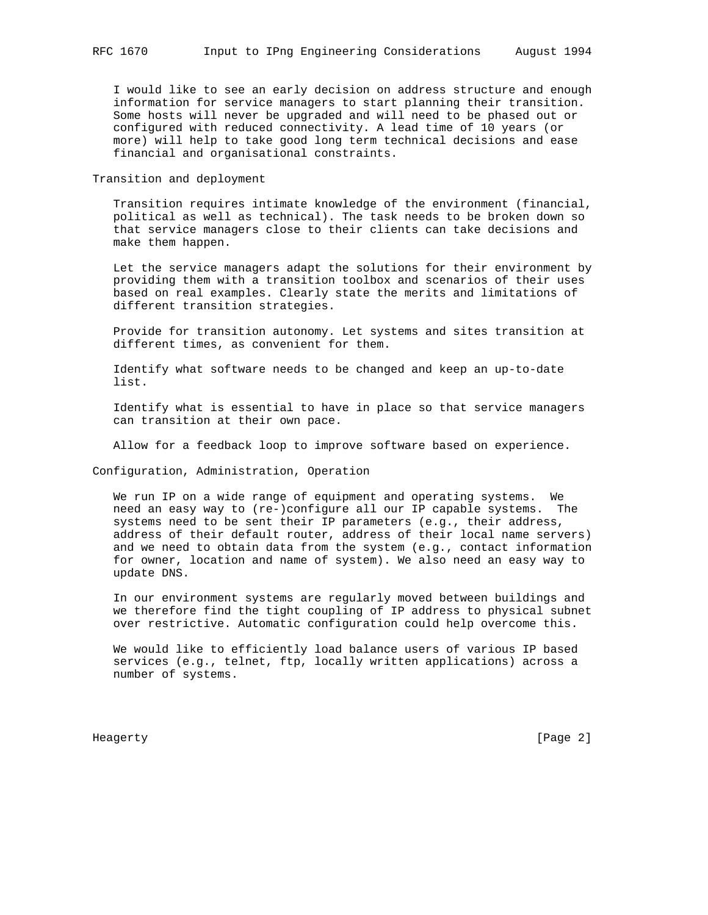I would like to see an early decision on address structure and enough information for service managers to start planning their transition. Some hosts will never be upgraded and will need to be phased out or configured with reduced connectivity. A lead time of 10 years (or more) will help to take good long term technical decisions and ease financial and organisational constraints.

Transition and deployment

 Transition requires intimate knowledge of the environment (financial, political as well as technical). The task needs to be broken down so that service managers close to their clients can take decisions and make them happen.

 Let the service managers adapt the solutions for their environment by providing them with a transition toolbox and scenarios of their uses based on real examples. Clearly state the merits and limitations of different transition strategies.

 Provide for transition autonomy. Let systems and sites transition at different times, as convenient for them.

 Identify what software needs to be changed and keep an up-to-date list.

 Identify what is essential to have in place so that service managers can transition at their own pace.

Allow for a feedback loop to improve software based on experience.

Configuration, Administration, Operation

 We run IP on a wide range of equipment and operating systems. We need an easy way to (re-)configure all our IP capable systems. The systems need to be sent their IP parameters (e.g., their address, address of their default router, address of their local name servers) and we need to obtain data from the system (e.g., contact information for owner, location and name of system). We also need an easy way to update DNS.

 In our environment systems are regularly moved between buildings and we therefore find the tight coupling of IP address to physical subnet over restrictive. Automatic configuration could help overcome this.

 We would like to efficiently load balance users of various IP based services (e.g., telnet, ftp, locally written applications) across a number of systems.

Heagerty [Page 2]